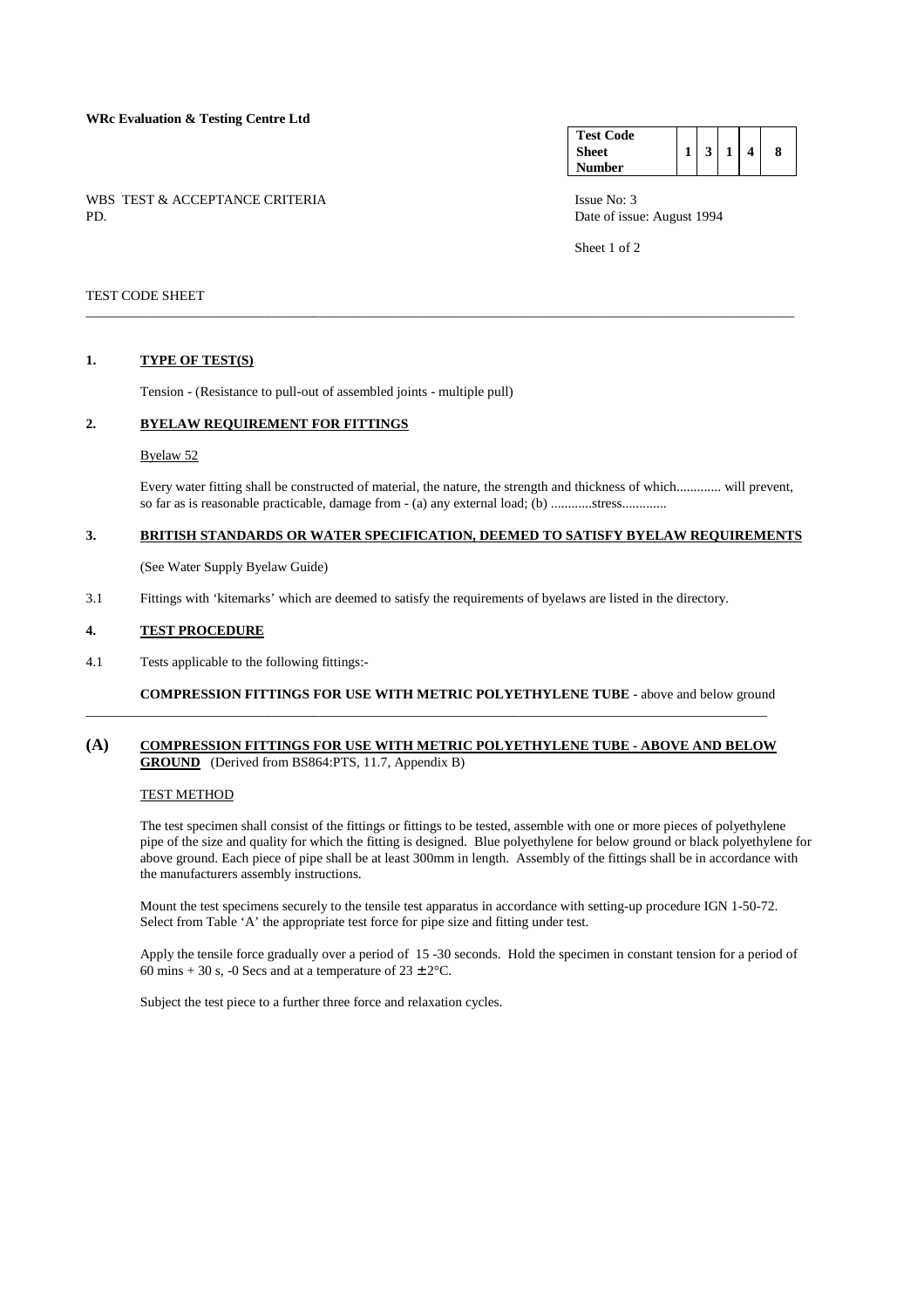### **WRc Evaluation & Testing Centre Ltd**

WBS TEST & ACCEPTANCE CRITERIA ISSUE No: 3<br>PD Date of issue

| <b>Test Code</b> |   |  |   |
|------------------|---|--|---|
| <b>Sheet</b>     | 3 |  | 8 |
| Number           |   |  |   |

Date of issue: August 1994

Sheet 1 of 2

### TEST CODE SHEET

### **1. TYPE OF TEST(S)**

Tension - (Resistance to pull-out of assembled joints - multiple pull)

#### **2. BYELAW REQUIREMENT FOR FITTINGS**

#### Byelaw 52

 Every water fitting shall be constructed of material, the nature, the strength and thickness of which............. will prevent, so far as is reasonable practicable, damage from - (a) any external load; (b) ............stress.............

# **3. BRITISH STANDARDS OR WATER SPECIFICATION, DEEMED TO SATISFY BYELAW REQUIREMENTS**

\_\_\_\_\_\_\_\_\_\_\_\_\_\_\_\_\_\_\_\_\_\_\_\_\_\_\_\_\_\_\_\_\_\_\_\_\_\_\_\_\_\_\_\_\_\_\_\_\_\_\_\_\_\_\_\_\_\_\_\_\_\_\_\_\_\_\_\_\_\_\_\_\_\_\_\_\_\_\_\_\_\_\_\_\_\_\_\_\_\_\_\_\_\_\_\_\_\_\_\_\_\_\_

(See Water Supply Byelaw Guide)

3.1 Fittings with 'kitemarks' which are deemed to satisfy the requirements of byelaws are listed in the directory.

#### **4. TEST PROCEDURE**

4.1 Tests applicable to the following fittings:-

 **COMPRESSION FITTINGS FOR USE WITH METRIC POLYETHYLENE TUBE** - above and below ground

# **(A) COMPRESSION FITTINGS FOR USE WITH METRIC POLYETHYLENE TUBE - ABOVE AND BELOW GROUND** (Derived from BS864:PTS, 11.7, Appendix B)

\_\_\_\_\_\_\_\_\_\_\_\_\_\_\_\_\_\_\_\_\_\_\_\_\_\_\_\_\_\_\_\_\_\_\_\_\_\_\_\_\_\_\_\_\_\_\_\_\_\_\_\_\_\_\_\_\_\_\_\_\_\_\_\_\_\_\_\_\_\_\_\_\_\_\_\_\_\_\_\_\_\_\_\_\_\_\_\_\_\_\_\_\_\_\_\_\_\_\_

# TEST METHOD

 The test specimen shall consist of the fittings or fittings to be tested, assemble with one or more pieces of polyethylene pipe of the size and quality for which the fitting is designed. Blue polyethylene for below ground or black polyethylene for above ground. Each piece of pipe shall be at least 300mm in length. Assembly of the fittings shall be in accordance with the manufacturers assembly instructions.

 Mount the test specimens securely to the tensile test apparatus in accordance with setting-up procedure IGN 1-50-72. Select from Table 'A' the appropriate test force for pipe size and fitting under test.

 Apply the tensile force gradually over a period of 15 -30 seconds. Hold the specimen in constant tension for a period of 60 mins + 30 s, -0 Secs and at a temperature of  $23 \pm 2$ °C.

Subject the test piece to a further three force and relaxation cycles.